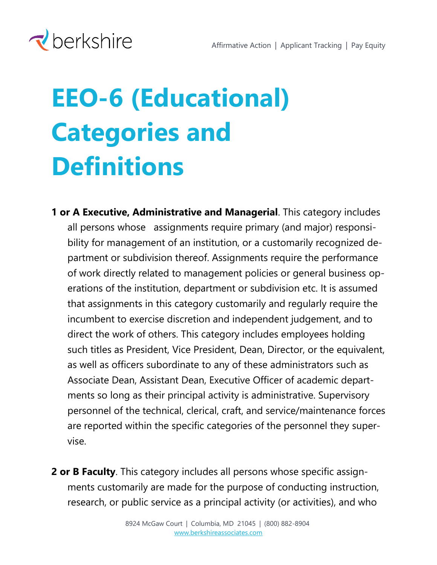

## **EEO-6 (Educational) Categories and Definitions**

- **1 or A Executive, Administrative and Managerial**. This category includes all persons whose assignments require primary (and major) responsibility for management of an institution, or a customarily recognized department or subdivision thereof. Assignments require the performance of work directly related to management policies or general business operations of the institution, department or subdivision etc. It is assumed that assignments in this category customarily and regularly require the incumbent to exercise discretion and independent judgement, and to direct the work of others. This category includes employees holding such titles as President, Vice President, Dean, Director, or the equivalent, as well as officers subordinate to any of these administrators such as Associate Dean, Assistant Dean, Executive Officer of academic departments so long as their principal activity is administrative. Supervisory personnel of the technical, clerical, craft, and service/maintenance forces are reported within the specific categories of the personnel they supervise.
- **2 or B Faculty**. This category includes all persons whose specific assignments customarily are made for the purpose of conducting instruction, research, or public service as a principal activity (or activities), and who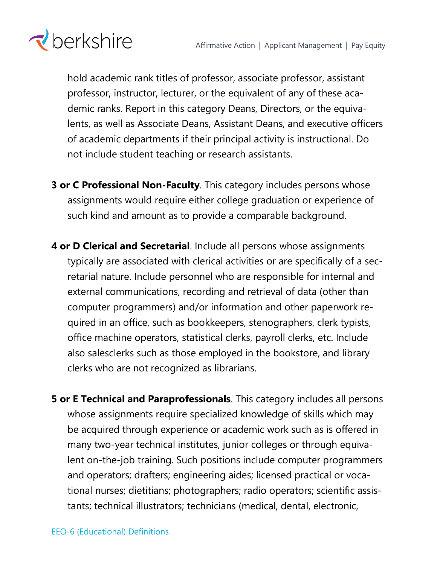

hold academic rank titles of professor, associate professor, assistant professor, instructor, lecturer, or the equivalent of any of these academic ranks. Report in this category Deans, Directors, or the equivalents, as well as Associate Deans, Assistant Deans, and executive officers of academic departments if their principal activity is instructional. Do not include student teaching or research assistants.

- **3 or C Professional Non-Faculty**. This category includes persons whose assignments would require either college graduation or experience of such kind and amount as to provide a comparable background.
- **4 or D Clerical and Secretarial**. Include all persons whose assignments typically are associated with clerical activities or are specifically of a secretarial nature. Include personnel who are responsible for internal and external communications, recording and retrieval of data (other than computer programmers) and/or information and other paperwork required in an office, such as bookkeepers, stenographers, clerk typists, office machine operators, statistical clerks, payroll clerks, etc. Include also salesclerks such as those employed in the bookstore, and library clerks who are not recognized as librarians.
- **5 or E Technical and Paraprofessionals**. This category includes all persons whose assignments require specialized knowledge of skills which may be acquired through experience or academic work such as is offered in many two-year technical institutes, junior colleges or through equivalent on-the-job training. Such positions include computer programmers and operators; drafters; engineering aides; licensed practical or vocational nurses; dietitians; photographers; radio operators; scientific assistants; technical illustrators; technicians (medical, dental, electronic,